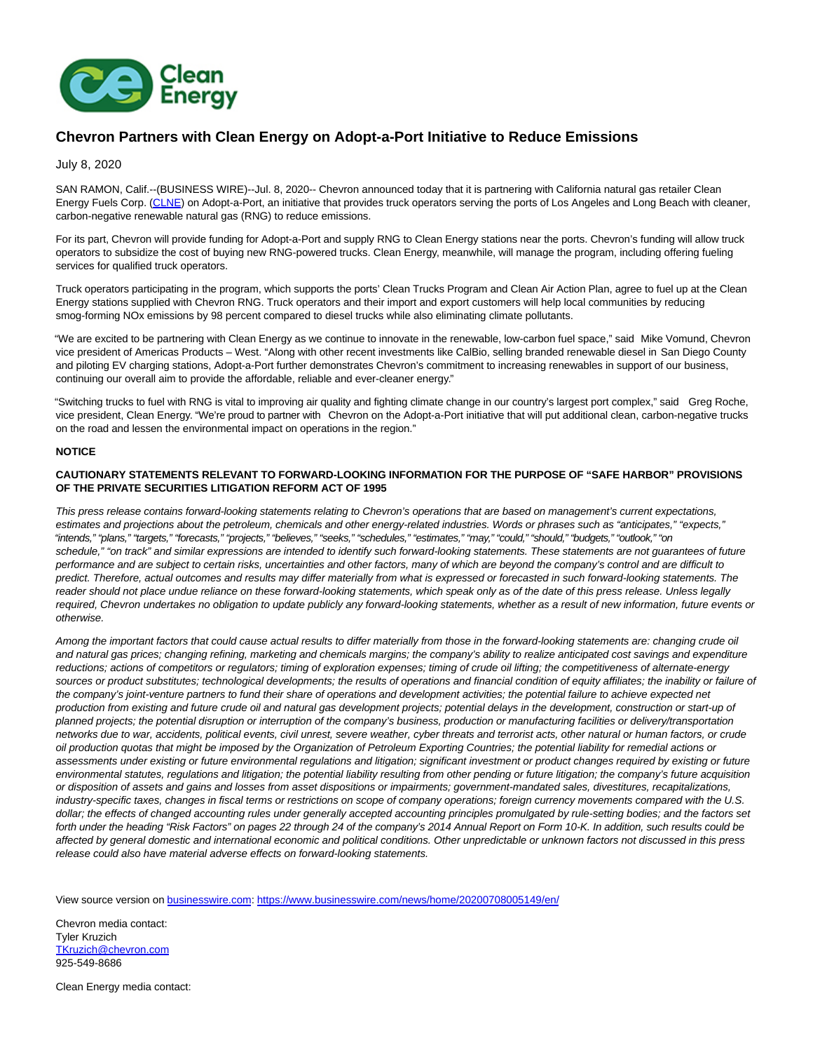

## **Chevron Partners with Clean Energy on Adopt-a-Port Initiative to Reduce Emissions**

July 8, 2020

SAN RAMON, Calif.--(BUSINESS WIRE)--Jul. 8, 2020-- Chevron announced today that it is partnering with California natural gas retailer Clean Energy Fuels Corp. [\(CLNE\)](https://cts.businesswire.com/ct/CT?id=smartlink&url=https%3A%2F%2Fwww.nasdaq.com%2Fmarket-activity%2Fstocks%2Fclne&esheet=52246740&newsitemid=20200708005149&lan=en-US&anchor=CLNE&index=1&md5=826f00b39a103842ed8710fbe587fa2a) on Adopt-a-Port, an initiative that provides truck operators serving the ports of Los Angeles and Long Beach with cleaner, carbon-negative renewable natural gas (RNG) to reduce emissions.

For its part, Chevron will provide funding for Adopt-a-Port and supply RNG to Clean Energy stations near the ports. Chevron's funding will allow truck operators to subsidize the cost of buying new RNG-powered trucks. Clean Energy, meanwhile, will manage the program, including offering fueling services for qualified truck operators.

Truck operators participating in the program, which supports the ports' Clean Trucks Program and Clean Air Action Plan, agree to fuel up at the Clean Energy stations supplied with Chevron RNG. Truck operators and their import and export customers will help local communities by reducing smog-forming NOx emissions by 98 percent compared to diesel trucks while also eliminating climate pollutants.

"We are excited to be partnering with Clean Energy as we continue to innovate in the renewable, low-carbon fuel space," said Mike Vomund, Chevron vice president of Americas Products – West. "Along with other recent investments like CalBio, selling branded renewable diesel in San Diego County and piloting EV charging stations, Adopt-a-Port further demonstrates Chevron's commitment to increasing renewables in support of our business, continuing our overall aim to provide the affordable, reliable and ever-cleaner energy."

"Switching trucks to fuel with RNG is vital to improving air quality and fighting climate change in our country's largest port complex," said Greg Roche, vice president, Clean Energy. "We're proud to partner with Chevron on the Adopt-a-Port initiative that will put additional clean, carbon-negative trucks on the road and lessen the environmental impact on operations in the region."

## **NOTICE**

## **CAUTIONARY STATEMENTS RELEVANT TO FORWARD-LOOKING INFORMATION FOR THE PURPOSE OF "SAFE HARBOR" PROVISIONS OF THE PRIVATE SECURITIES LITIGATION REFORM ACT OF 1995**

This press release contains forward-looking statements relating to Chevron's operations that are based on management's current expectations, estimates and projections about the petroleum, chemicals and other energy-related industries. Words or phrases such as "anticipates," "expects," "intends," "plans," "targets," "forecasts," "projects," "believes," "seeks," "schedules," "estimates," "may," "could," "should," "budgets," "outlook," "on schedule," "on track" and similar expressions are intended to identify such forward-looking statements. These statements are not guarantees of future performance and are subject to certain risks, uncertainties and other factors, many of which are beyond the company's control and are difficult to predict. Therefore, actual outcomes and results may differ materially from what is expressed or forecasted in such forward-looking statements. The reader should not place undue reliance on these forward-looking statements, which speak only as of the date of this press release. Unless legally required, Chevron undertakes no obligation to update publicly any forward-looking statements, whether as a result of new information, future events or otherwise.

Among the important factors that could cause actual results to differ materially from those in the forward-looking statements are: changing crude oil and natural gas prices; changing refining, marketing and chemicals margins; the company's ability to realize anticipated cost savings and expenditure reductions; actions of competitors or regulators; timing of exploration expenses; timing of crude oil lifting; the competitiveness of alternate-energy sources or product substitutes; technological developments; the results of operations and financial condition of equity affiliates; the inability or failure of the company's joint-venture partners to fund their share of operations and development activities; the potential failure to achieve expected net production from existing and future crude oil and natural gas development projects; potential delays in the development, construction or start-up of planned projects; the potential disruption or interruption of the company's business, production or manufacturing facilities or delivery/transportation networks due to war, accidents, political events, civil unrest, severe weather, cyber threats and terrorist acts, other natural or human factors, or crude oil production quotas that might be imposed by the Organization of Petroleum Exporting Countries; the potential liability for remedial actions or assessments under existing or future environmental regulations and litigation; significant investment or product changes required by existing or future environmental statutes, regulations and litigation; the potential liability resulting from other pending or future litigation; the company's future acquisition or disposition of assets and gains and losses from asset dispositions or impairments; government-mandated sales, divestitures, recapitalizations, industry-specific taxes, changes in fiscal terms or restrictions on scope of company operations; foreign currency movements compared with the U.S. dollar; the effects of changed accounting rules under generally accepted accounting principles promulgated by rule-setting bodies; and the factors set forth under the heading "Risk Factors" on pages 22 through 24 of the company's 2014 Annual Report on Form 10-K. In addition, such results could be affected by general domestic and international economic and political conditions. Other unpredictable or unknown factors not discussed in this press release could also have material adverse effects on forward-looking statements.

View source version on [businesswire.com:](http://businesswire.com/)<https://www.businesswire.com/news/home/20200708005149/en/>

Chevron media contact: Tyler Kruzich [TKruzich@chevron.com](mailto:TKruzich@chevron.com) 925-549-8686

Clean Energy media contact: